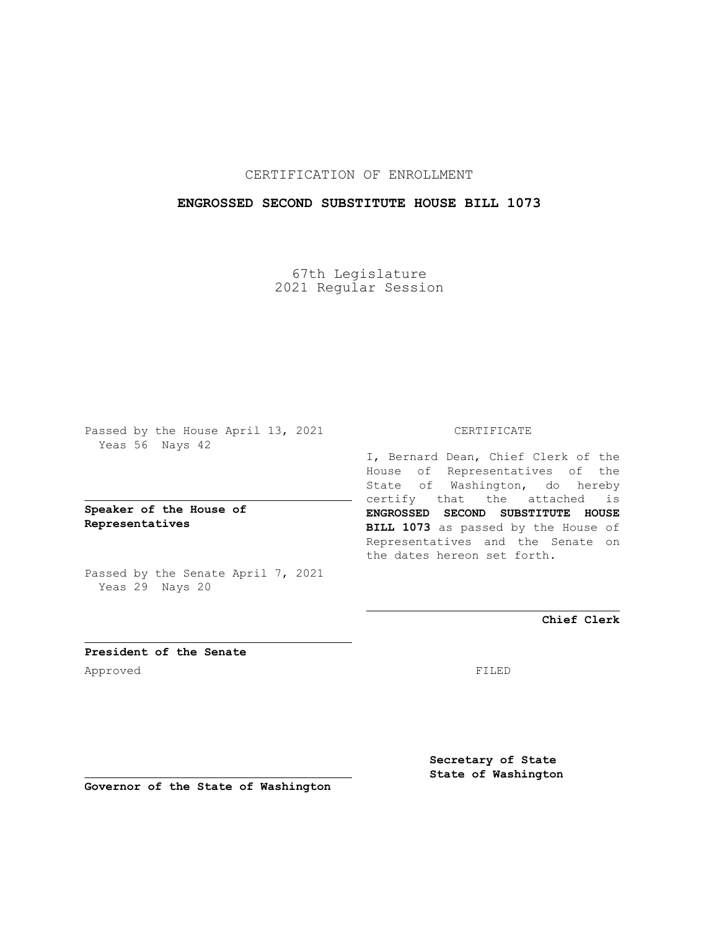## CERTIFICATION OF ENROLLMENT

### **ENGROSSED SECOND SUBSTITUTE HOUSE BILL 1073**

67th Legislature 2021 Regular Session

Passed by the House April 13, 2021 Yeas 56 Nays 42

**Speaker of the House of Representatives**

Passed by the Senate April 7, 2021 Yeas 29 Nays 20

#### CERTIFICATE

I, Bernard Dean, Chief Clerk of the House of Representatives of the State of Washington, do hereby certify that the attached is **ENGROSSED SECOND SUBSTITUTE HOUSE BILL 1073** as passed by the House of Representatives and the Senate on the dates hereon set forth.

**Chief Clerk**

**President of the Senate** Approved FILED

**Secretary of State State of Washington**

**Governor of the State of Washington**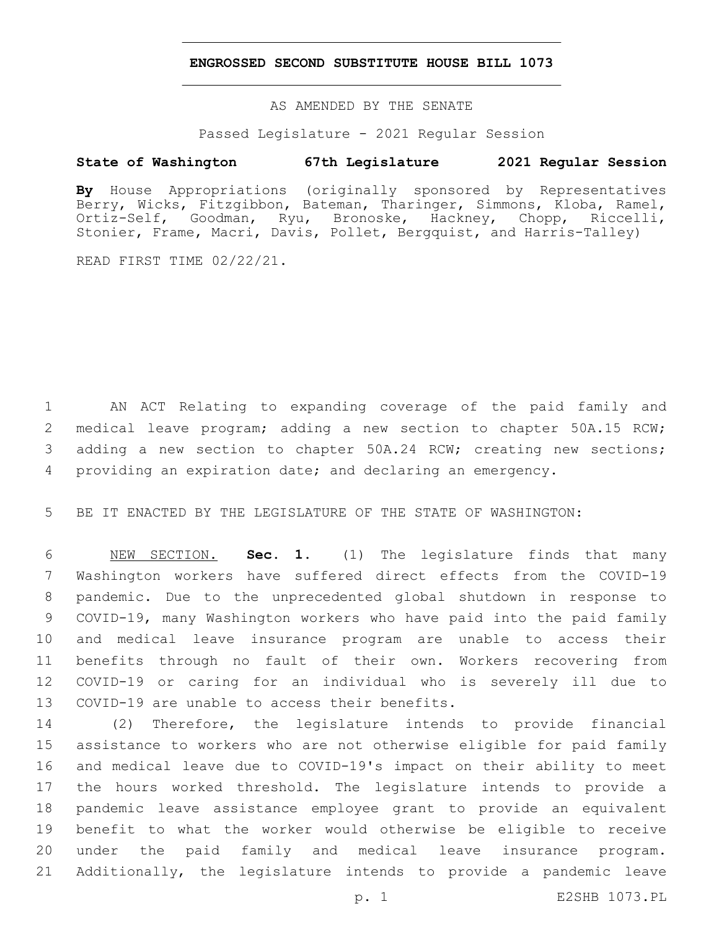### **ENGROSSED SECOND SUBSTITUTE HOUSE BILL 1073**

AS AMENDED BY THE SENATE

Passed Legislature - 2021 Regular Session

# **State of Washington 67th Legislature 2021 Regular Session**

**By** House Appropriations (originally sponsored by Representatives Berry, Wicks, Fitzgibbon, Bateman, Tharinger, Simmons, Kloba, Ramel, Ortiz-Self, Goodman, Ryu, Bronoske, Hackney, Chopp, Riccelli, Stonier, Frame, Macri, Davis, Pollet, Bergquist, and Harris-Talley)

READ FIRST TIME 02/22/21.

 AN ACT Relating to expanding coverage of the paid family and medical leave program; adding a new section to chapter 50A.15 RCW; adding a new section to chapter 50A.24 RCW; creating new sections; providing an expiration date; and declaring an emergency.

BE IT ENACTED BY THE LEGISLATURE OF THE STATE OF WASHINGTON:

 NEW SECTION. **Sec. 1.** (1) The legislature finds that many Washington workers have suffered direct effects from the COVID-19 pandemic. Due to the unprecedented global shutdown in response to COVID-19, many Washington workers who have paid into the paid family and medical leave insurance program are unable to access their benefits through no fault of their own. Workers recovering from COVID-19 or caring for an individual who is severely ill due to COVID-19 are unable to access their benefits.

 (2) Therefore, the legislature intends to provide financial assistance to workers who are not otherwise eligible for paid family and medical leave due to COVID-19's impact on their ability to meet the hours worked threshold. The legislature intends to provide a pandemic leave assistance employee grant to provide an equivalent benefit to what the worker would otherwise be eligible to receive under the paid family and medical leave insurance program. Additionally, the legislature intends to provide a pandemic leave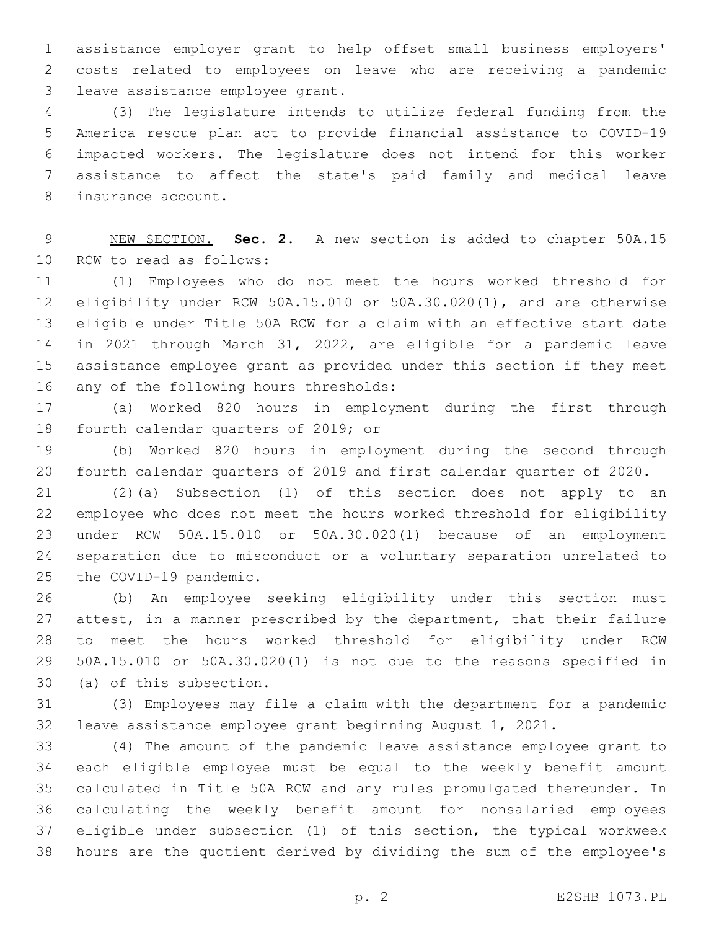assistance employer grant to help offset small business employers' costs related to employees on leave who are receiving a pandemic 3 leave assistance employee grant.

 (3) The legislature intends to utilize federal funding from the America rescue plan act to provide financial assistance to COVID-19 impacted workers. The legislature does not intend for this worker assistance to affect the state's paid family and medical leave 8 insurance account.

 NEW SECTION. **Sec. 2.** A new section is added to chapter 50A.15 10 RCW to read as follows:

 (1) Employees who do not meet the hours worked threshold for eligibility under RCW 50A.15.010 or 50A.30.020(1), and are otherwise eligible under Title 50A RCW for a claim with an effective start date in 2021 through March 31, 2022, are eligible for a pandemic leave assistance employee grant as provided under this section if they meet 16 any of the following hours thresholds:

 (a) Worked 820 hours in employment during the first through 18 fourth calendar quarters of 2019; or

 (b) Worked 820 hours in employment during the second through fourth calendar quarters of 2019 and first calendar quarter of 2020.

 (2)(a) Subsection (1) of this section does not apply to an employee who does not meet the hours worked threshold for eligibility under RCW 50A.15.010 or 50A.30.020(1) because of an employment separation due to misconduct or a voluntary separation unrelated to 25 the COVID-19 pandemic.

 (b) An employee seeking eligibility under this section must attest, in a manner prescribed by the department, that their failure to meet the hours worked threshold for eligibility under RCW 50A.15.010 or 50A.30.020(1) is not due to the reasons specified in 30 (a) of this subsection.

 (3) Employees may file a claim with the department for a pandemic leave assistance employee grant beginning August 1, 2021.

 (4) The amount of the pandemic leave assistance employee grant to each eligible employee must be equal to the weekly benefit amount calculated in Title 50A RCW and any rules promulgated thereunder. In calculating the weekly benefit amount for nonsalaried employees eligible under subsection (1) of this section, the typical workweek hours are the quotient derived by dividing the sum of the employee's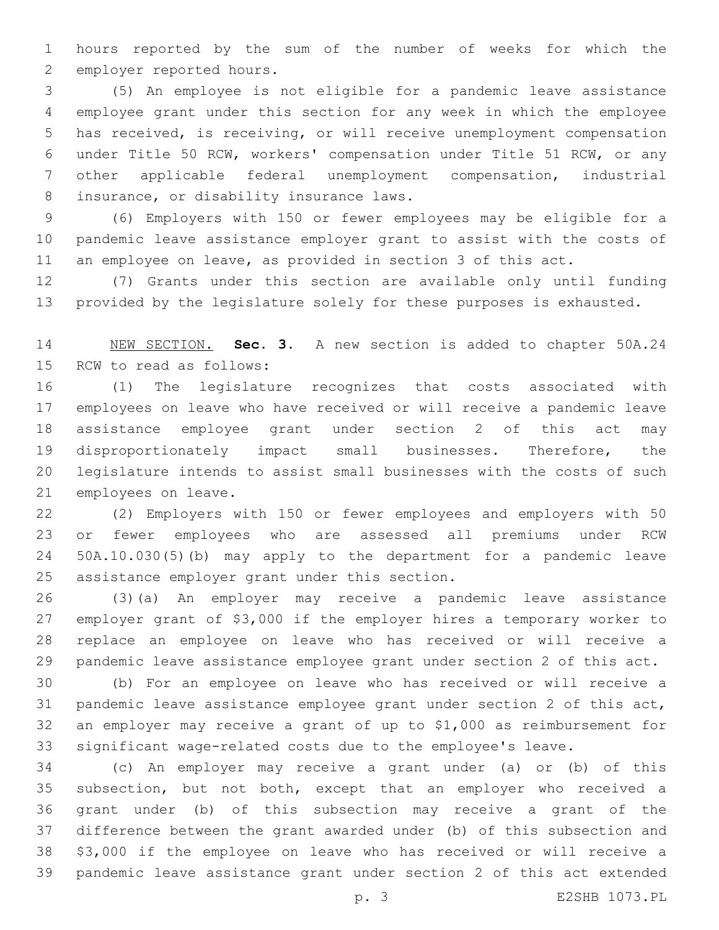hours reported by the sum of the number of weeks for which the 2 employer reported hours.

 (5) An employee is not eligible for a pandemic leave assistance employee grant under this section for any week in which the employee has received, is receiving, or will receive unemployment compensation under Title 50 RCW, workers' compensation under Title 51 RCW, or any other applicable federal unemployment compensation, industrial 8 insurance, or disability insurance laws.

 (6) Employers with 150 or fewer employees may be eligible for a pandemic leave assistance employer grant to assist with the costs of an employee on leave, as provided in section 3 of this act.

 (7) Grants under this section are available only until funding provided by the legislature solely for these purposes is exhausted.

 NEW SECTION. **Sec. 3.** A new section is added to chapter 50A.24 15 RCW to read as follows:

 (1) The legislature recognizes that costs associated with employees on leave who have received or will receive a pandemic leave assistance employee grant under section 2 of this act may disproportionately impact small businesses. Therefore, the legislature intends to assist small businesses with the costs of such 21 employees on leave.

 (2) Employers with 150 or fewer employees and employers with 50 or fewer employees who are assessed all premiums under RCW 50A.10.030(5)(b) may apply to the department for a pandemic leave 25 assistance employer grant under this section.

 (3)(a) An employer may receive a pandemic leave assistance employer grant of \$3,000 if the employer hires a temporary worker to replace an employee on leave who has received or will receive a pandemic leave assistance employee grant under section 2 of this act.

 (b) For an employee on leave who has received or will receive a pandemic leave assistance employee grant under section 2 of this act, an employer may receive a grant of up to \$1,000 as reimbursement for significant wage-related costs due to the employee's leave.

 (c) An employer may receive a grant under (a) or (b) of this subsection, but not both, except that an employer who received a grant under (b) of this subsection may receive a grant of the difference between the grant awarded under (b) of this subsection and \$3,000 if the employee on leave who has received or will receive a pandemic leave assistance grant under section 2 of this act extended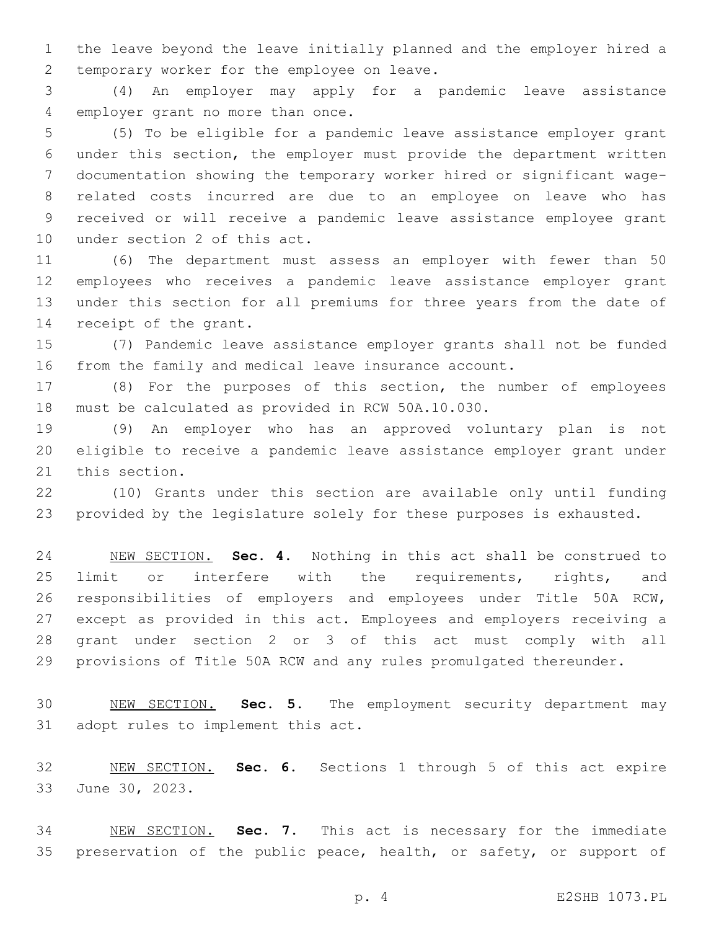the leave beyond the leave initially planned and the employer hired a 2 temporary worker for the employee on leave.

 (4) An employer may apply for a pandemic leave assistance 4 employer grant no more than once.

 (5) To be eligible for a pandemic leave assistance employer grant under this section, the employer must provide the department written documentation showing the temporary worker hired or significant wage- related costs incurred are due to an employee on leave who has received or will receive a pandemic leave assistance employee grant 10 under section 2 of this act.

 (6) The department must assess an employer with fewer than 50 employees who receives a pandemic leave assistance employer grant under this section for all premiums for three years from the date of 14 receipt of the grant.

 (7) Pandemic leave assistance employer grants shall not be funded from the family and medical leave insurance account.

 (8) For the purposes of this section, the number of employees 18 must be calculated as provided in RCW 50A.10.030.

 (9) An employer who has an approved voluntary plan is not eligible to receive a pandemic leave assistance employer grant under 21 this section.

 (10) Grants under this section are available only until funding provided by the legislature solely for these purposes is exhausted.

 NEW SECTION. **Sec. 4.** Nothing in this act shall be construed to 25 limit or interfere with the requirements, rights, and responsibilities of employers and employees under Title 50A RCW, except as provided in this act. Employees and employers receiving a grant under section 2 or 3 of this act must comply with all provisions of Title 50A RCW and any rules promulgated thereunder.

 NEW SECTION. **Sec. 5.** The employment security department may adopt rules to implement this act.

 NEW SECTION. **Sec. 6.** Sections 1 through 5 of this act expire June 30, 2023.

 NEW SECTION. **Sec. 7.** This act is necessary for the immediate 35 preservation of the public peace, health, or safety, or support of